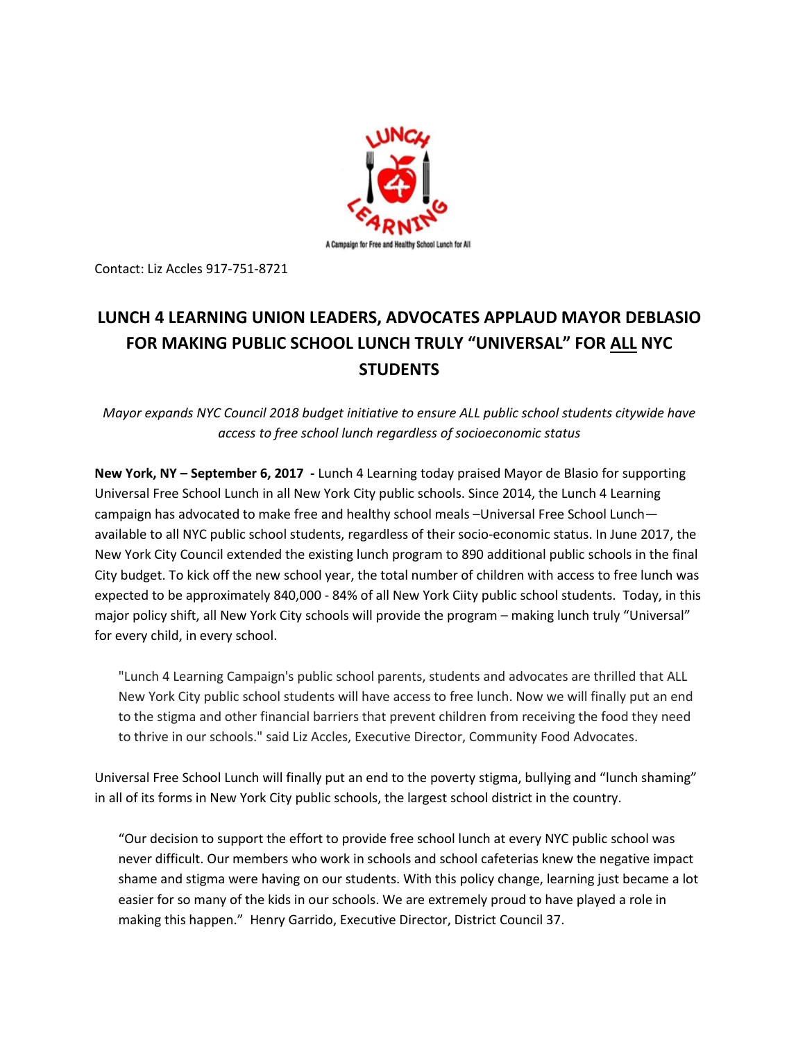

Contact: Liz Accles 917-751-8721

## **LUNCH 4 LEARNING UNION LEADERS, ADVOCATES APPLAUD MAYOR DEBLASIO FOR MAKING PUBLIC SCHOOL LUNCH TRULY "UNIVERSAL" FOR ALL NYC STUDENTS**

*Mayor expands NYC Council 2018 budget initiative to ensure ALL public school students citywide have access to free school lunch regardless of socioeconomic status*

**New York, NY – September 6, 2017 -** Lunch 4 Learning today praised Mayor de Blasio for supporting Universal Free School Lunch in all New York City public schools. Since 2014, the Lunch 4 Learning campaign has advocated to make free and healthy school meals –Universal Free School Lunch available to all NYC public school students, regardless of their socio-economic status. In June 2017, the New York City Council extended the existing lunch program to 890 additional public schools in the final City budget. To kick off the new school year, the total number of children with access to free lunch was expected to be approximately 840,000 - 84% of all New York Ciity public school students. Today, in this major policy shift, all New York City schools will provide the program – making lunch truly "Universal" for every child, in every school.

"Lunch 4 Learning Campaign's public school parents, students and advocates are thrilled that ALL New York City public school students will have access to free lunch. Now we will finally put an end to the stigma and other financial barriers that prevent children from receiving the food they need to thrive in our schools." said Liz Accles, Executive Director, Community Food Advocates.

Universal Free School Lunch will finally put an end to the poverty stigma, bullying and "lunch shaming" in all of its forms in New York City public schools, the largest school district in the country.

"Our decision to support the effort to provide free school lunch at every NYC public school was never difficult. Our members who work in schools and school cafeterias knew the negative impact shame and stigma were having on our students. With this policy change, learning just became a lot easier for so many of the kids in our schools. We are extremely proud to have played a role in making this happen." Henry Garrido, Executive Director, District Council 37.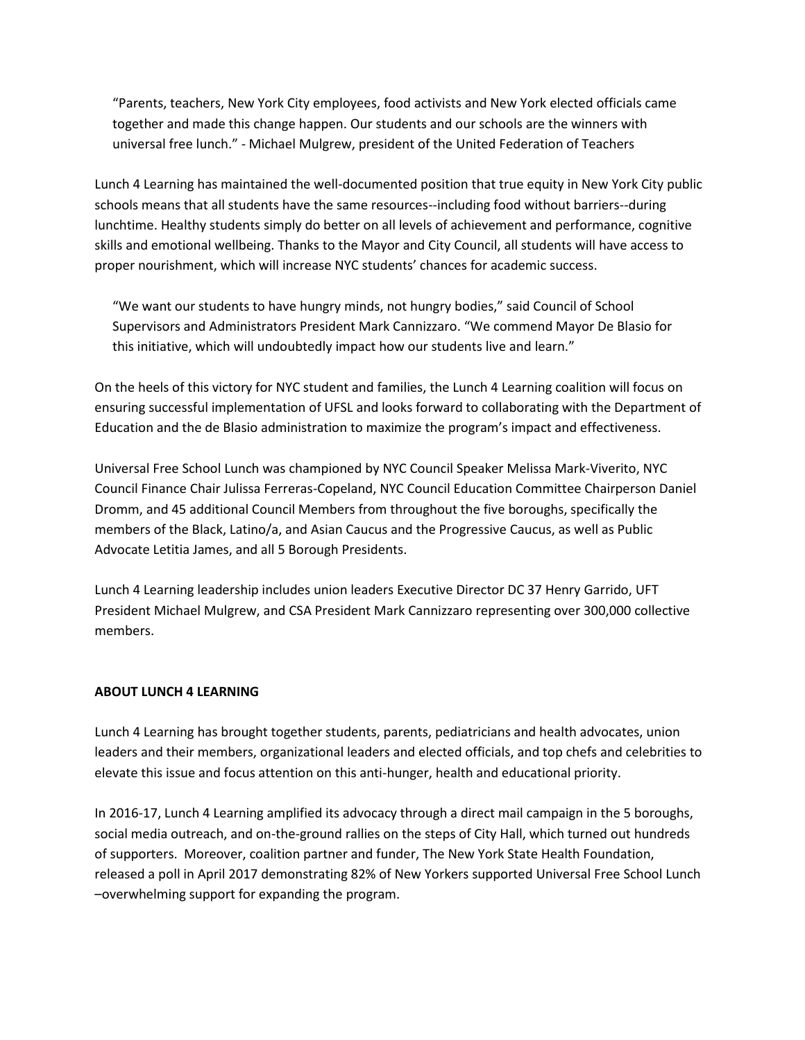"Parents, teachers, New York City employees, food activists and New York elected officials came together and made this change happen. Our students and our schools are the winners with universal free lunch." - Michael Mulgrew, president of the United Federation of Teachers

Lunch 4 Learning has maintained the well-documented position that true equity in New York City public schools means that all students have the same resources--including food without barriers--during lunchtime. Healthy students simply do better on all levels of achievement and performance, cognitive skills and emotional wellbeing. Thanks to the Mayor and City Council, all students will have access to proper nourishment, which will increase NYC students' chances for academic success.

"We want our students to have hungry minds, not hungry bodies," said Council of School Supervisors and Administrators President Mark Cannizzaro. "We commend Mayor De Blasio for this initiative, which will undoubtedly impact how our students live and learn."

On the heels of this victory for NYC student and families, the Lunch 4 Learning coalition will focus on ensuring successful implementation of UFSL and looks forward to collaborating with the Department of Education and the de Blasio administration to maximize the program's impact and effectiveness.

Universal Free School Lunch was championed by NYC Council Speaker Melissa Mark-Viverito, NYC Council Finance Chair Julissa Ferreras-Copeland, NYC Council Education Committee Chairperson Daniel Dromm, and 45 additional Council Members from throughout the five boroughs, specifically the members of the Black, Latino/a, and Asian Caucus and the Progressive Caucus, as well as Public Advocate Letitia James, and all 5 Borough Presidents.

Lunch 4 Learning leadership includes union leaders Executive Director DC 37 Henry Garrido, UFT President Michael Mulgrew, and CSA President Mark Cannizzaro representing over 300,000 collective members.

## **ABOUT LUNCH 4 LEARNING**

Lunch 4 Learning has brought together students, parents, pediatricians and health advocates, union leaders and their members, organizational leaders and elected officials, and top chefs and celebrities to elevate this issue and focus attention on this anti-hunger, health and educational priority.

In 2016-17, Lunch 4 Learning amplified its advocacy through a direct mail campaign in the 5 boroughs, social media outreach, and on-the-ground rallies on the steps of City Hall, which turned out hundreds of supporters. Moreover, coalition partner and funder, The New York State Health Foundation, released a poll in April 2017 demonstrating 82% of New Yorkers supported Universal Free School Lunch –overwhelming support for expanding the program.